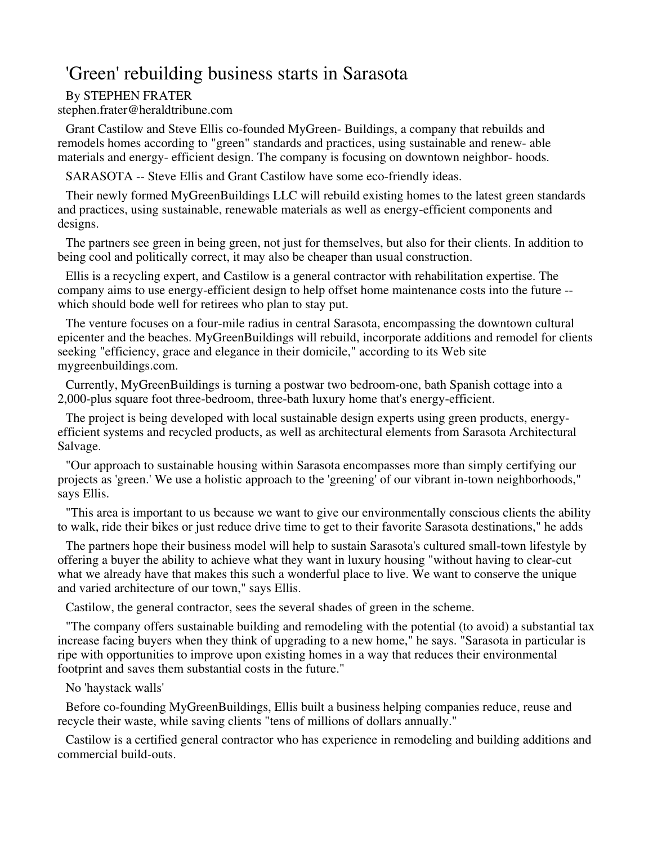## 'Green' rebuilding business starts in Sarasota

## By STEPHEN FRATER

stephen.frater@heraldtribune.com

Grant Castilow and Steve Ellis co-founded MyGreen- Buildings, a company that rebuilds and remodels homes according to "green" standards and practices, using sustainable and renew- able materials and energy- efficient design. The company is focusing on downtown neighbor- hoods.

SARASOTA -- Steve Ellis and Grant Castilow have some eco-friendly ideas.

Their newly formed MyGreenBuildings LLC will rebuild existing homes to the latest green standards and practices, using sustainable, renewable materials as well as energy-efficient components and designs.

The partners see green in being green, not just for themselves, but also for their clients. In addition to being cool and politically correct, it may also be cheaper than usual construction.

Ellis is a recycling expert, and Castilow is a general contractor with rehabilitation expertise. The company aims to use energy-efficient design to help offset home maintenance costs into the future - which should bode well for retirees who plan to stay put.

The venture focuses on a four-mile radius in central Sarasota, encompassing the downtown cultural epicenter and the beaches. MyGreenBuildings will rebuild, incorporate additions and remodel for clients seeking "efficiency, grace and elegance in their domicile," according to its Web site mygreenbuildings.com.

Currently, MyGreenBuildings is turning a postwar two bedroom-one, bath Spanish cottage into a 2,000-plus square foot three-bedroom, three-bath luxury home that's energy-efficient.

The project is being developed with local sustainable design experts using green products, energyefficient systems and recycled products, as well as architectural elements from Sarasota Architectural Salvage.

"Our approach to sustainable housing within Sarasota encompasses more than simply certifying our projects as 'green.' We use a holistic approach to the 'greening' of our vibrant in-town neighborhoods," says Ellis.

"This area is important to us because we want to give our environmentally conscious clients the ability to walk, ride their bikes or just reduce drive time to get to their favorite Sarasota destinations," he adds

The partners hope their business model will help to sustain Sarasota's cultured small-town lifestyle by offering a buyer the ability to achieve what they want in luxury housing "without having to clear-cut what we already have that makes this such a wonderful place to live. We want to conserve the unique and varied architecture of our town," says Ellis.

Castilow, the general contractor, sees the several shades of green in the scheme.

"The company offers sustainable building and remodeling with the potential (to avoid) a substantial tax increase facing buyers when they think of upgrading to a new home," he says. "Sarasota in particular is ripe with opportunities to improve upon existing homes in a way that reduces their environmental footprint and saves them substantial costs in the future."

## No 'haystack walls'

Before co-founding MyGreenBuildings, Ellis built a business helping companies reduce, reuse and recycle their waste, while saving clients "tens of millions of dollars annually."

Castilow is a certified general contractor who has experience in remodeling and building additions and commercial build-outs.